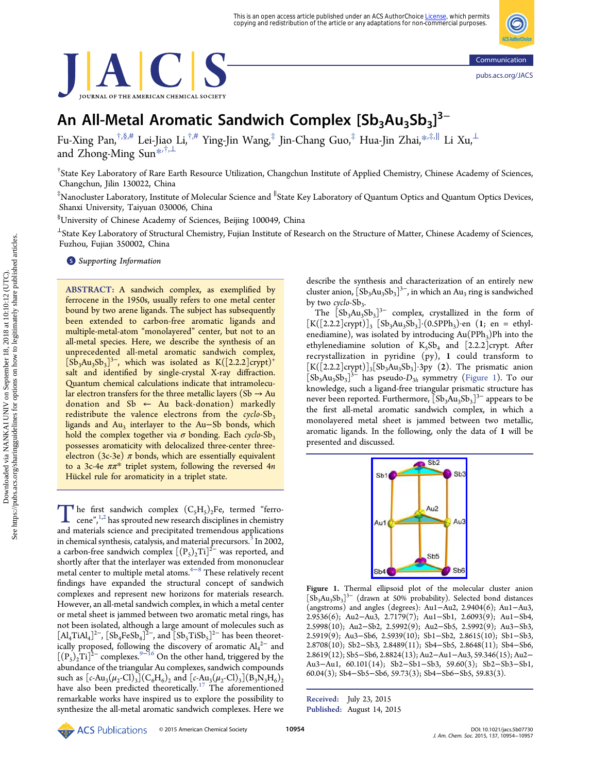<span id="page-0-0"></span>



# An All-Metal Aromatic Sandwich Complex  $[\mathsf{Sb}_3\mathsf{Au}_3\mathsf{Sb}_3]^{3-}$

Fu-Xing Pan,†,§,[#](#page-2-0) Lei-Jiao Li,†,[#](#page-2-0) Ying-Jin Wang,‡ Jin-Chang Guo,‡ Hua-Jin Zhai,[\\*](#page-2-0),‡,<sup>∥</sup> Li Xu,<sup>⊥</sup> and Zhong-Ming Sun[\\*](#page-2-0),†,<sup>⊥</sup>

† State Key Laboratory of Rare Earth Resource Utilization, Changchun Institute of Applied Chemistry, Chinese Academy of Sciences, Changchun, Jilin 130022, China

‡Nanocluster Laboratory, Institute of Molecular Science and <sup>∥</sup>State Key Laboratory of Quantum Optics and Quantum Optics Devices, Shanxi University, Taiyuan 030006, China

§ University of Chinese Academy of Sciences, Beijing 100049, China

<sup>⊥</sup>State Key Laboratory of Structural Chemistry, Fujian Institute of Research on the Structure of Matter, Chinese Academy of Sciences, Fuzhou, Fujian 350002, China

**S** [Supporting Information](#page-2-0)

ABSTRACT: A sandwich complex, as exemplified by ferrocene in the 1950s, usually refers to one metal center bound by two arene ligands. The subject has subsequently been extended to carbon-free aromatic ligands and multiple-metal-atom "monolayered" center, but not to an all-metal species. Here, we describe the synthesis of an unprecedented all-metal aromatic sandwich complex,  $[{\rm S}\bar{\rm b}_3{\rm Au}_3{\rm S}\bar{\rm b}_3]^{3-}$ , which was isolated as  ${\rm K}([2.2.2] {\rm crypt})^+$ salt and identified by single-crystal X-ray diffraction. Quantum chemical calculations indicate that intramolecular electron transfers for the three metallic layers (Sb  $\rightarrow$  Au donation and  $Sb \leftarrow Au$  back-donation) markedly redistribute the valence electrons from the cyclo- $Sb_3$ ligands and  $Au_3$  interlayer to the Au–Sb bonds, which hold the complex together via  $\sigma$  bonding. Each cyclo-Sb<sub>3</sub> possesses aromaticity with delocalized three-center threeelectron (3c-3e)  $\pi$  bonds, which are essentially equivalent to a 3c-4e  $\pi \pi^*$  triplet system, following the reversed 4n Hückel rule for aromaticity in a triplet state.

The first sandwich complex  $(C_5H_5)_2$  $(C_5H_5)_2$ Fe, termed "ferro-<br>cene",<sup>[1](#page-2-0),2</sup> has sprouted new research disciplines in chemistry<br>and materials science and procinitated tramondous applications and materials science and precipitated tremendous applications in chemical synthesis, catalysis, and material precursors.<sup>[3](#page-2-0)</sup> In 2002, a carbon-free sandwich complex  $[(P<sub>5</sub>)<sub>2</sub>Ti]<sup>2−</sup>$  was reported, and shortly after that the interlayer was extended from mononuclear metal center to multiple metal atoms.<sup>[4](#page-2-0)-[8](#page-2-0)</sup> These relatively recent findings have expanded the structural concept of sandwich complexes and represent new horizons for materials research. However, an all-metal sandwich complex, in which a metal center or metal sheet is jammed between two aromatic metal rings, has not been isolated, although a large amount of molecules such as  $\left[Al_4 \text{TiAl}_4\right]^{2-}$ ,  $\left[\text{Sb}_4 \text{FeSb}_4\right]^{2-}$ , and  $\left[\text{Sb}_5 \text{TiSb}_5\right]^{2-}$  has been theoretically proposed, following the discovery of aromatic  $Al_4^2$  and  $[(P<sub>5</sub>)<sub>2</sub>Ti]<sup>2–</sup> complexes.<sup>9–16</sup> On the other hand, triggered by the$  $[(P<sub>5</sub>)<sub>2</sub>Ti]<sup>2–</sup> complexes.<sup>9–16</sup> On the other hand, triggered by the$  $[(P<sub>5</sub>)<sub>2</sub>Ti]<sup>2–</sup> complexes.<sup>9–16</sup> On the other hand, triggered by the$  $[(P<sub>5</sub>)<sub>2</sub>Ti]<sup>2–</sup> complexes.<sup>9–16</sup> On the other hand, triggered by the$  $[(P<sub>5</sub>)<sub>2</sub>Ti]<sup>2–</sup> complexes.<sup>9–16</sup> On the other hand, triggered by the$ abundance of the triangular Au complexes, sandwich compounds such as  $[c-Au_3(\mu_2\text{-}Cl)_3](C_6H_6)_2$  and  $[c-Au_3(\mu_2\text{-}Cl)_3](B_3N_3H_6)_2$ have also been predicted theoretically.<sup>[17](#page-3-0)</sup> The aforementioned remarkable works have inspired us to explore the possibility to synthesize the all-metal aromatic sandwich complexes. Here we

describe the synthesis and characterization of an entirely new cluster anion,  $\left[Sb_3Au_3Sb_3\right]^3$ , in which an Au<sub>3</sub> ring is sandwiched by two cyclo- $Sb_3$ .

The  $[Sb_3Au_3Sb_3]$ <sup>3-</sup> complex, crystallized in the form of  $[K([2.2.2]crypt)]_3 [Sb_3Au_3Sb_3] (0.5PPh_3)$ ·en  $(1; en = ethyl$ enediamine), was isolated by introducing  $Au(PPh<sub>3</sub>)Ph$  into the ethylenediamine solution of  $K_5Sb_4$  and [2.2.2]crypt. After recrystallization in pyridine (py), 1 could transform to  $[K([2.2.2]crypt)]_3[Sb_3Au_3Sb_3]\cdot3py$  (2). The prismatic anion  $[Sb<sub>3</sub>Au<sub>3</sub>Sb<sub>3</sub>]<sup>3-</sup>$  has pseudo- $D<sub>3h</sub>$  symmetry (Figure 1). To our knowledge, such a ligand-free triangular prismatic structure has never been reported. Furthermore,  $[Sb_3Au_3Sb_3]^{3-}$  appears to be the first all-metal aromatic sandwich complex, in which a monolayered metal sheet is jammed between two metallic, aromatic ligands. In the following, only the data of 1 will be presented and discussed.



Figure 1. Thermal ellipsoid plot of the molecular cluster anion [Sb<sub>3</sub>Au<sub>3</sub>Sb<sub>3</sub>]<sup>3−</sup> (drawn at 50% probability). Selected bond distances (angstroms) and angles (degrees): Au1−Au2, 2.9404(6); Au1−Au3, 2.9536(6); Au2−Au3, 2.7179(7); Au1−Sb1, 2.6093(9); Au1−Sb4, 2.5998(10); Au2−Sb2, 2.5992(9); Au2−Sb5, 2.5992(9); Au3−Sb3, 2.5919(9); Au3−Sb6, 2.5939(10); Sb1−Sb2, 2.8615(10); Sb1−Sb3, 2.8708(10); Sb2−Sb3, 2.8489(11); Sb4−Sb5, 2.8648(11); Sb4−Sb6, 2.8619(12); Sb5−Sb6, 2.8824(13); Au2−Au1−Au3, 59.346(15); Au2− Au3−Au1, 60.101(14); Sb2−Sb1−Sb3, 59.60(3); Sb2−Sb3−Sb1, 60.04(3); Sb4−Sb5−Sb6, 59.73(3); Sb4−Sb6−Sb5, 59.83(3).

Received: July 23, 2015 Published: August 14, 2015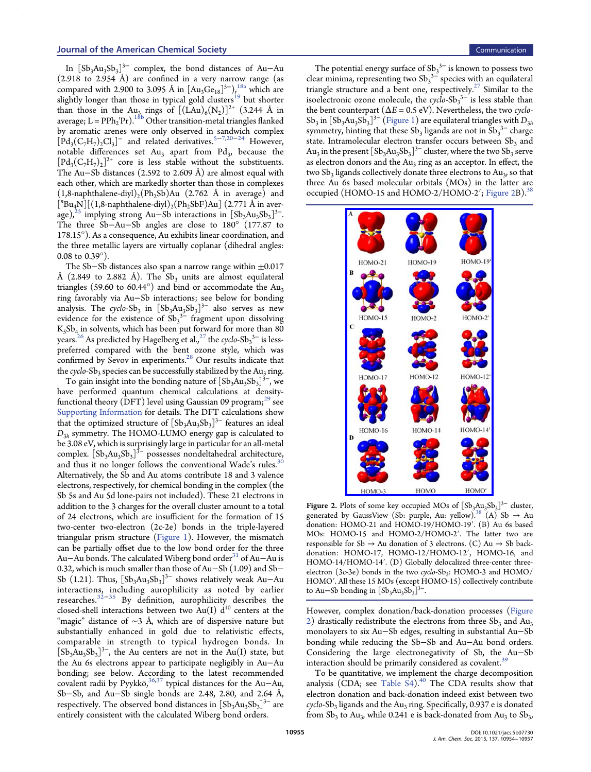<span id="page-1-0"></span>In  $[Sb_3Au_3Sb_3]$ <sup>3−</sup> complex, the bond distances of Au–Au  $(2.918 \text{ to } 2.954 \text{ Å})$  are confined in a very narrow range (as compared with 2.900 to 3.095 Å in  $[Au_3Ge_{18}]^{5-}$ ),<sup>[18a](#page-3-0)</sup> which are slightly longer than those in typical gold clusters<sup>[19](#page-3-0)</sup> but shorter than those in the Au<sub>3</sub> rings of  $[(\text{LAu})_6(\text{N}_2)]^{2+}$  (3.244 Å in average;  $L = PPh_2{}^{i}Pr$ ).<sup>[18b](#page-3-0)</sup> Other transition-metal triangles flanked by aromatic arenes were only observed in sandwich complex  $[\text{Pd}_{3}(C_{7}H_{7})_{2}Cl_{3}]$  $[\text{Pd}_{3}(C_{7}H_{7})_{2}Cl_{3}]$  $[\text{Pd}_{3}(C_{7}H_{7})_{2}Cl_{3}]$ <sup>-</sup> and related derivatives.<sup>[5](#page-2-0)–7,[20](#page-3-0)–[24](#page-3-0)</sup> However, notable differences set  $Au_3$  apart from  $Pd_3$ , because the  $[\text{Pd}_{3}(C_{7}H_{7})_{2}]^{2+}$  core is less stable without the substituents. The Au−Sb distances (2.592 to 2.609 Å) are almost equal with each other, which are markedly shorter than those in complexes  $(1,8$ -naphthalene-diyl)<sub>2</sub>(Ph<sub>2</sub>Sb)Au (2.762 Å in average) and  $\left[$ "Bu<sub>4</sub>N][(1,8-naphthalene-diyl)<sub>2</sub>(Ph<sub>2</sub>SbF)Au] (2.771 Å in aver-age),<sup>[25](#page-3-0)</sup> implying strong Au–Sb interactions in  $[Sb_3Au_3Sb_3]$ <sup>3-</sup>. The three Sb−Au−Sb angles are close to 180° (177.87 to 178.15°). As a consequence, Au exhibits linear coordination, and the three metallic layers are virtually coplanar (dihedral angles: 0.08 to 0.39°).

The Sb−Sb distances also span a narrow range within ±0.017 Å (2.849 to 2.882 Å). The Sb<sub>3</sub> units are almost equilateral triangles (59.60 to 60.44 $^{\circ}$ ) and bind or accommodate the Au<sub>3</sub> ring favorably via Au−Sb interactions; see below for bonding analysis. The cyclo-Sb<sub>3</sub> in  $\left[{\rm Sb_3Au_3Sb_3}\right]^{3-}$  also serves as new evidence for the existence of  $Sb_3^3$ <sup>-</sup> fragment upon dissolving  $K_5Sb_4$  in solvents, which has been put forward for more than 80 years. $^{26}$  $^{26}$  $^{26}$  As predicted by Hagelberg et al., $^{27}$  $^{27}$  $^{27}$  the cyclo-Sb $_3{}^{3-}$  is lesspreferred compared with the bent ozone style, which was confirmed by Sevov in experiments.<sup>[28](#page-3-0)</sup> Our results indicate that the cyclo-Sb<sub>3</sub> species can be successfully stabilized by the Au<sub>3</sub> ring.

To gain insight into the bonding nature of  $\left[{\rm Sb_3Au_3Sb_3}\right]^{3-}$ , we have performed quantum chemical calculations at densityfunctional theory (DFT) level using Gaussian 09 program; $^{29}$  $^{29}$  $^{29}$  see [Supporting Information](http://pubs.acs.org/doi/suppl/10.1021/jacs.5b07730/suppl_file/ja5b07730_si_002.pdf) for details. The DFT calculations show that the optimized structure of  $[Sb_3Au_3Sb_3]^{3-}$  features an ideal  $D_{3h}$  symmetry. The HOMO-LUMO energy gap is calculated to be 3.08 eV, which is surprisingly large in particular for an all-metal complex.  $\left[{\rm Sb_3Au_3Sb_3}\right]^{\bar{3}-}$  possesses nondeltahedral architecture, and thus it no longer follows the conventional Wade's rules. $30$ Alternatively, the Sb and Au atoms contribute 18 and 3 valence electrons, respectively, for chemical bonding in the complex (the Sb 5s and Au 5d lone-pairs not included). These 21 electrons in addition to the 3 charges for the overall cluster amount to a total of 24 electrons, which are insufficient for the formation of 15 two-center two-electron (2c-2e) bonds in the triple-layered triangular prism structure [\(Figure 1\)](#page-0-0). However, the mismatch can be partially offset due to the low bond order for the three Au–Au bonds. The calculated Wiberg bond order<sup>[31](#page-3-0)</sup> of Au–Au is 0.32, which is much smaller than those of Au−Sb (1.09) and Sb− Sb (1.21). Thus,  $[Sb_3Au_3Sb_3]^{3-}$  shows relatively weak Au–Au interactions, including aurophilicity as noted by earlier researches.[32](#page-3-0)−[35](#page-3-0) By definition, aurophilicity describes the closed-shell interactions between two Au(I)  $d^{10}$  centers at the "magic" distance of  $\sim$ 3 Å, which are of dispersive nature but substantially enhanced in gold due to relativistic effects, comparable in strength to typical hydrogen bonds. In  $[Sb<sub>3</sub>Au<sub>3</sub>Sb<sub>3</sub>]<sup>3-</sup>$ , the Au centers are not in the Au(I) state, but the Au 6s electrons appear to participate negligibly in Au−Au bonding; see below. According to the latest recommended covalent radii by Pyykkö,<sup>[36](#page-3-0),[37](#page-3-0)</sup> typical distances for the Au-Au, Sb−Sb, and Au−Sb single bonds are 2.48, 2.80, and 2.64 Å, respectively. The observed bond distances in  $\left[\mathrm{Sb_3Au_3Sb_3}\right]^{\mathrm{3-}}$  are entirely consistent with the calculated Wiberg bond orders.

The potential energy surface of  $\text{Sb}_3^{\,3-}$  is known to possess two clear minima, representing two  $Sb_3^3$ <sup>-</sup> species with an equilateral triangle structure and a bent one, respectively.<sup>[27](#page-3-0)</sup> Similar to the isoelectronic ozone molecule, the  $\c{cycleSb_3}^3$  is less stable than the bent counterpart ( $\Delta E = 0.5$  eV). Nevertheless, the two *cyclo*-Sb<sub>3</sub> in  $\left[ Sb_3Au_3Sb_3\right]^{3-}$  ([Figure 1\)](#page-0-0) are equilateral triangles with  $D_{3h}$ symmetry, hinting that these  $Sb_3$  ligands are not in  $\overline{Sb_3}^3$  charge state. Intramolecular electron transfer occurs between  $Sb<sub>3</sub>$  and Au<sub>3</sub> in the present  $[Sb_3Au_3B_3]^{3-}$  cluster, where the two  $Sb_3$  serve as electron donors and the  $Au_3$  ring as an acceptor. In effect, the two  $Sb_3$  ligands collectively donate three electrons to  $Au_3$ , so that three Au 6s based molecular orbitals (MOs) in the latter are occupied (HOMO-15 and HOMO-2/HOMO-2'; Figure 2B).<sup>[38](#page-3-0)</sup>



**Figure 2.** Plots of some key occupied MOs of  $[Sb<sub>3</sub>Au<sub>3</sub>Sb<sub>3</sub>]<sup>3-</sup>$  cluster, generated by GaussView (Sb: purple, Au: yellow).<sup>[38](#page-3-0)</sup> (A) Sb  $\rightarrow$  Au donation: HOMO-21 and HOMO-19/HOMO-19′. (B) Au 6s based MOs: HOMO-15 and HOMO-2/HOMO-2′. The latter two are responsible for Sb  $\rightarrow$  Au donation of 3 electrons. (C) Au  $\rightarrow$  Sb backdonation: HOMO-17, HOMO-12/HOMO-12′, HOMO-16, and HOMO-14/HOMO-14′. (D) Globally delocalized three-center threeelectron (3c-3e) bonds in the two cyclo-Sb<sub>3</sub>: HOMO-3 and HOMO/ HOMO′. All these 15 MOs (except HOMO-15) collectively contribute to Au–Sb bonding in  $[Sb_3Au_3Sb_3]^{3-}$ .

However, complex donation/back-donation processes (Figure 2) drastically redistribute the electrons from three  $Sb_3$  and  $Au_3$ monolayers to six Au−Sb edges, resulting in substantial Au−Sb bonding while reducing the Sb−Sb and Au−Au bond orders. Considering the large electronegativity of Sb, the Au−Sb interaction should be primarily considered as covalent.<sup>35</sup>

To be quantitative, we implement the charge decomposition analysis (CDA; see Table  $S4$ ).<sup>[40](#page-3-0)</sup> The CDA results show that electron donation and back-donation indeed exist between two  $\alpha$ cyclo-Sb<sub>3</sub> ligands and the Au<sub>3</sub> ring. Specifically, 0.937 e is donated from  $Sb_3$  to Au<sub>3</sub>, while 0.241 e is back-donated from Au<sub>3</sub> to  $Sb_3$ ,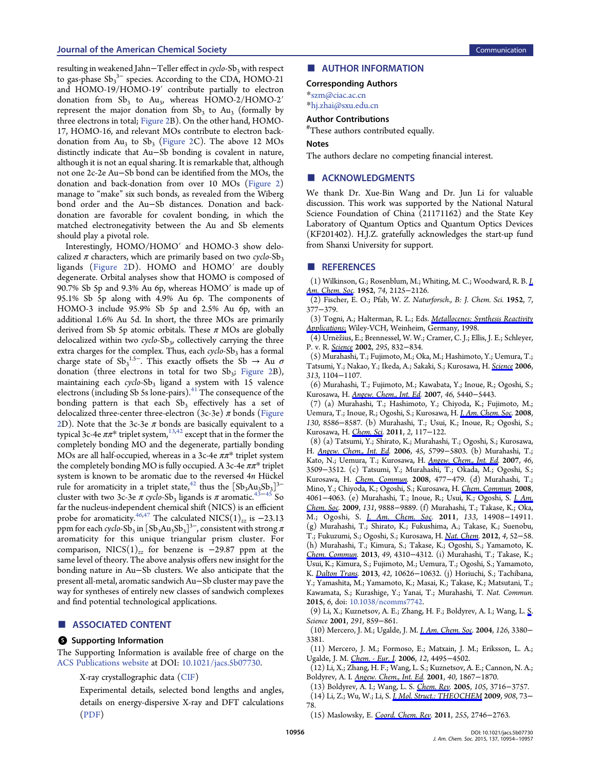## <span id="page-2-0"></span>Journal of the American Chemical Society Communication Communication Communication

resulting in weakened Jahn-Teller effect in cyclo-Sb3 with respect to gas-phase  $\text{Sb}_3^3$ <sup>-3</sup> species. According to the CDA, HOMO-21 and HOMO-19/HOMO-19′ contribute partially to electron donation from  $Sb_3$  to Au<sub>3</sub>, whereas HOMO-2/HOMO-2<sup>'</sup> represent the major donation from  $Sb_3$  to Au<sub>3</sub> (formally by three electrons in total; [Figure 2B](#page-1-0)). On the other hand, HOMO-17, HOMO-16, and relevant MOs contribute to electron backdonation from  $Au_3$  to  $Sb_3$  ([Figure 2](#page-1-0)C). The above 12 MOs distinctly indicate that Au−Sb bonding is covalent in nature, although it is not an equal sharing. It is remarkable that, although not one 2c-2e Au−Sb bond can be identified from the MOs, the donation and back-donation from over 10 MOs ([Figure 2\)](#page-1-0) manage to "make" six such bonds, as revealed from the Wiberg bond order and the Au−Sb distances. Donation and backdonation are favorable for covalent bonding, in which the matched electronegativity between the Au and Sb elements should play a pivotal role.

Interestingly, HOMO/HOMO′ and HOMO-3 show delocalized  $\pi$  characters, which are primarily based on two cyclo-Sb<sub>3</sub> ligands ([Figure 2D](#page-1-0)). HOMO and HOMO′ are doubly degenerate. Orbital analyses show that HOMO is composed of 90.7% Sb 5p and 9.3% Au 6p, whereas HOMO′ is made up of 95.1% Sb 5p along with 4.9% Au 6p. The components of HOMO-3 include 95.9% Sb 5p and 2.5% Au 6p, with an additional 1.6% Au 5d. In short, the three MOs are primarily derived from Sb 5p atomic orbitals. These  $\pi$  MOs are globally delocalized within two  $\c{cycle-Sb}_3$ , collectively carrying the three extra charges for the complex. Thus, each  $\c{cyclo-Sb}_3$  has a formal charge state of  $Sb_3^{1.5-}$ . This exactly offsets the Sb  $\rightarrow$  Au  $\sigma$ donation (three electrons in total for two  $Sb_3$ ; [Figure 2B](#page-1-0)), maintaining each  $cyclo-Sb<sub>3</sub>$  ligand a system with 15 valence electrons (including Sb 5s lone-pairs).<sup>[41](#page-3-0)</sup> The consequence of the bonding pattern is that each  $Sb<sub>3</sub>$  effectively has a set of delocalized three-center three-electron (3c-3e)  $\pi$  bonds [\(Figure](#page-1-0) [2](#page-1-0)D). Note that the 3c-3e  $\pi$  bonds are basically equivalent to a typical 3c-4e  $\pi \pi^*$  triplet system,<sup>13,[42](#page-3-0)</sup> except that in the former the completely bonding MO and the degenerate, partially bonding MOs are all half-occupied, whereas in a 3c-4e  $\pi \pi^*$  triplet system the completely bonding MO is fully occupied. A 3c-4e  $\pi \pi^*$  triplet system is known to be aromatic due to the reversed  $4n$  Hückel rule for aromaticity in a triplet state,<sup>[42](#page-3-0)</sup> thus the  $\left[{\rm Sb_3Au_3Sb_3}\right]^{3-}$ cluster with two 3c-3e  $\pi$  cyclo-Sb<sub>3</sub> ligands is  $\pi$  aromatic.<sup>[43](#page-3-0)–[45](#page-3-0)</sup> So far the nucleus-independent chemical shift (NICS) is an efficient probe for aromaticity.<sup>[46,47](#page-3-0)</sup> The calculated NICS(1)<sub>zz</sub> is −23.13 ppm for each *cyclo-*Sb<sub>3</sub> in  $[\text{Sb}_{3}\text{Au}_{3}\text{Sb}_{3}]^{3-}$ , consistent with strong  $\pi$ aromaticity for this unique triangular prism cluster. For comparison, NICS(1)<sub>zz</sub> for benzene is -29.87 ppm at the same level of theory. The above analysis offers new insight for the bonding nature in Au−Sb clusters. We also anticipate that the present all-metal, aromatic sandwich Au−Sb cluster may pave the way for syntheses of entirely new classes of sandwich complexes and find potential technological applications.

#### ■ ASSOCIATED CONTENT

#### **6** Supporting Information

The Supporting Information is available free of charge on the [ACS Publications website](http://pubs.acs.org) at DOI: [10.1021/jacs.5b07730.](http://pubs.acs.org/doi/abs/10.1021/jacs.5b07730)

X-ray crystallographic data [\(CIF\)](http://pubs.acs.org/doi/suppl/10.1021/jacs.5b07730/suppl_file/ja5b07730_si_001.cif)

Experimental details, selected bond lengths and angles, details on energy-dispersive X-ray and DFT calculations [\(PDF](http://pubs.acs.org/doi/suppl/10.1021/jacs.5b07730/suppl_file/ja5b07730_si_002.pdf))

# ■ AUTHOR INFORMATION

## Corresponding Authors

\*[szm@ciac.ac.cn](mailto:szm@ciac.ac.cn)

\*[hj.zhai@sxu.edu.cn](mailto:hj.zhai@sxu.edu.cn)

# Author Contributions

# These authors contributed equally.

### Notes

The authors declare no competing financial interest.

## ■ ACKNOWLEDGMENTS

We thank Dr. Xue-Bin Wang and Dr. Jun Li for valuable discussion. This work was supported by the National Natural Science Foundation of China (21171162) and the State Key Laboratory of Quantum Optics and Quantum Optics Devices (KF201402). H.J.Z. gratefully acknowledges the start-up fund from Shanxi University for support.

#### ■ REFERENCES

(1) Wilkinson, G.; Rosenblum, M.; Whiting, M. C.; Woodward, R. B. [J.](http://pubs.acs.org/action/showLinks?system=10.1021%2Fja01128a527&coi=1%3ACAS%3A528%3ADyaG2cXhtFSktg%253D%253D&citationId=p_1_1) [Am. Chem. Soc](http://pubs.acs.org/action/showLinks?system=10.1021%2Fja01128a527&coi=1%3ACAS%3A528%3ADyaG2cXhtFSktg%253D%253D&citationId=p_1_1). 1952, 74, 2125−2126.

(2) Fischer, E. O.; Pfab, W. Z. Naturforsch., B: J. Chem. Sci. 1952, 7, 377−379.

(3) Togni, A.; Halterman, R. L.; Eds. [Metallocenes: Synthesis Reactivity](http://pubs.acs.org/action/showLinks?crossref=10.1002%2F9783527619542&citationId=p_7_1) [Applications](http://pubs.acs.org/action/showLinks?crossref=10.1002%2F9783527619542&citationId=p_7_1); Wiley-VCH, Weinheim, Germany, 1998.

 $(4)$  Urnežius, E.; Brennessel, W. W.; Cramer, C. J.; Ellis, J. E.; Schleyer, P. v. R. [Science](http://pubs.acs.org/action/showLinks?pmid=11823635&crossref=10.1126%2Fscience.1067325&citationId=p_8_1) 2002, 295, 832-834.

(5) Murahashi, T.; Fujimoto, M.; Oka, M.; Hashimoto, Y.; Uemura, T.; Tatsumi, Y.; Nakao, Y.; Ikeda, A.; Sakaki, S.; Kurosawa, H. [Science](http://pubs.acs.org/action/showLinks?pmid=16931758&crossref=10.1126%2Fscience.1125245&coi=1%3ACAS%3A528%3ADC%252BD28XotlCgtLw%253D&citationId=p_11_1) 2006, 313, 1104−1107.

(6) Murahashi, T.; Fujimoto, M.; Kawabata, Y.; Inoue, R.; Ogoshi, S.; Kurosawa, H. [Angew. Chem., Int. Ed](http://pubs.acs.org/action/showLinks?pmid=17568470&crossref=10.1002%2Fanie.200701665&coi=1%3ACAS%3A528%3ADC%252BD2sXotVWjtLY%253D&citationId=p_14_1). 2007, 46, 5440−5443.

(7) (a) Murahashi, T.; Hashimoto, Y.; Chiyoda, K.; Fujimoto, M.; Uemura, T.; Inoue, R.; Ogoshi, S.; Kurosawa, H. [J. Am. Chem. Soc.](http://pubs.acs.org/action/showLinks?system=10.1021%2Fja802624p&coi=1%3ACAS%3A528%3ADC%252BD1cXnt1Wisr4%253D&citationId=p_17_1) 2008, 130, 8586−8587. (b) Murahashi, T.; Usui, K.; Inoue, R.; Ogoshi, S.; Kurosawa, H. [Chem. Sci](http://pubs.acs.org/action/showLinks?crossref=10.1039%2FC0SC00269K&coi=1%3ACAS%3A528%3ADC%252BC3cXhsFWqsbjI&citationId=p_19_1). 2011, 2, 117−122.

(8) (a) Tatsumi, Y.; Shirato, K.; Murahashi, T.; Ogoshi, S.; Kurosawa, H. [Angew. Chem., Int. Ed.](http://pubs.acs.org/action/showLinks?pmid=16865766&crossref=10.1002%2Fanie.200601641&coi=1%3ACAS%3A528%3ADC%252BD28Xps1eitr8%253D&citationId=p_22_1) 2006, 45, 5799–5803. (b) Murahashi, T.; Kato, N.; Uemura, T.; Kurosawa, H. [Angew. Chem., Int. Ed](http://pubs.acs.org/action/showLinks?pmid=17407124&crossref=10.1002%2Fanie.200700340&coi=1%3ACAS%3A528%3ADC%252BD2sXmtVyhtLc%253D&citationId=p_24_1). 2007, 46, 3509−3512. (c) Tatsumi, Y.; Murahashi, T.; Okada, M.; Ogoshi, S.; Kurosawa, H. [Chem. Commun.](http://pubs.acs.org/action/showLinks?pmid=18188473&crossref=10.1039%2Fb714530f&coi=1%3ACAS%3A528%3ADC%252BD1cXltFSmsw%253D%253D&citationId=p_26_1) 2008, 477−479. (d) Murahashi, T.; Mino, Y.; Chiyoda, K.; Ogoshi, S.; Kurosawa, H. [Chem. Commun](http://pubs.acs.org/action/showLinks?pmid=18758626&crossref=10.1039%2Fb806824k&coi=1%3ACAS%3A528%3ADC%252BD1cXhtVKisr3E&citationId=p_28_1). 2008, 4061−4063. (e) Murahashi, T.; Inoue, R.; Usui, K.; Ogoshi, S. [J. Am.](http://pubs.acs.org/action/showLinks?system=10.1021%2Fja903679f&coi=1%3ACAS%3A528%3ADC%252BD1MXnvFWrtrc%253D&citationId=p_30_1) [Chem. Soc](http://pubs.acs.org/action/showLinks?system=10.1021%2Fja903679f&coi=1%3ACAS%3A528%3ADC%252BD1MXnvFWrtrc%253D&citationId=p_30_1). 2009, 131, 9888−9889. (f) Murahashi, T.; Takase, K.; Oka, M.; Ogoshi, S. *[J. Am. Chem. Soc](http://pubs.acs.org/action/showLinks?system=10.1021%2Fja206076u&coi=1%3ACAS%3A528%3ADC%252BC3MXhtFCgs77J&citationId=p_32_1).* 2011, 133, 14908-14911. (g) Murahashi, T.; Shirato, K.; Fukushima, A.; Takase, K.; Suenobu, T.; Fukuzumi, S.; Ogoshi, S.; Kurosawa, H. [Nat. Chem.](http://pubs.acs.org/action/showLinks?crossref=10.1038%2Fnchem.1202&coi=1%3ACAS%3A528%3ADC%252BC3MXhsV2gt7%252FJ&citationId=p_34_1) 2012, 4, 52−58. (h) Murahashi, T.; Kimura, S.; Takase, K.; Ogoshi, S.; Yamamoto, K. [Chem. Commun.](http://pubs.acs.org/action/showLinks?pmid=23254311&crossref=10.1039%2Fc2cc37554k&coi=1%3ACAS%3A528%3ADC%252BC3sXmt1Cju7k%253D&citationId=p_36_1) 2013, 49, 4310−4312. (i) Murahashi, T.; Takase, K.; Usui, K.; Kimura, S.; Fujimoto, M.; Uemura, T.; Ogoshi, S.; Yamamoto, K. [Dalton Trans.](http://pubs.acs.org/action/showLinks?pmid=23764564&crossref=10.1039%2Fc3dt51018b&coi=1%3ACAS%3A528%3ADC%252BC3sXhtVeiu7rF&citationId=p_38_1) 2013, 42, 10626−10632. (j) Horiuchi, S.; Tachibana, Y.; Yamashita, M.; Yamamoto, K.; Masai, K.; Takase, K.; Matsutani, T.; Kawamata, S.; Kurashige, Y.; Yanai, T.; Murahashi, T. Nat. Commun. 2015, 6, doi: [10.1038/ncomms7742](http://dx.doi.org/10.1038/ncomms7742).

(9) Li, X.; Kuznetsov, A. E.; Zhang, H. F.; Boldyrev, A. I.; Wang, L. [S.](http://pubs.acs.org/action/showLinks?pmid=11157162&crossref=10.1126%2Fscience.291.5505.859&coi=1%3ACAS%3A528%3ADC%252BD3MXpslKqsA%253D%253D&citationId=p_41_1) Science 2001, 291, 859−861.

(10) Mercero, J. M.; Ugalde, J. M. [J. Am. Chem. Soc](http://pubs.acs.org/action/showLinks?system=10.1021%2Fja039074b&coi=1%3ACAS%3A528%3ADC%252BD2cXhsFynt7k%253D&citationId=p_44_1). 2004, 126, 3380− 3381.

(11) Mercero, J. M.; Formoso, E.; Matxain, J. M.; Eriksson, L. A.; Ugalde, J. M. [Chem. - Eur. J.](http://pubs.acs.org/action/showLinks?pmid=16683278&crossref=10.1002%2Fchem.200600106&coi=1%3ACAS%3A528%3ADC%252BD28XmtVaitLw%253D&citationId=p_45_1) 2006, 12, 4495−4502.

(12) Li, X.; Zhang, H. F.; Wang, L. S.; Kuznetsov, A. E.; Cannon, N. A.; Boldyrev, A. I. [Angew. Chem., Int. Ed.](http://pubs.acs.org/action/showLinks?pmid=11385658&crossref=10.1002%2F1521-3773%2820010518%2940%3A10%3C1867%3A%3AAID-ANIE1867%3E3.0.CO%3B2-W&coi=1%3ACAS%3A528%3ADC%252BD3MXjvFyqtrc%253D&citationId=p_48_1) 2001, 40, 1867−1870.

(13) Boldyrev, A. I.; Wang, L. S. [Chem. Rev](http://pubs.acs.org/action/showLinks?system=10.1021%2Fcr030091t&coi=1%3ACAS%3A528%3ADC%252BD2MXhtVCjsrrE&citationId=p_51_1). 2005, 105, 3716−3757.

(14) Li, Z.; Wu, W.; Li, S. [J. Mol. Struct.: THEOCHEM](http://pubs.acs.org/action/showLinks?crossref=10.1016%2Fj.theochem.2009.05.006&coi=1%3ACAS%3A528%3ADC%252BD1MXosVarurY%253D&citationId=p_54_1) 2009, 908, 73− 78.

(15) Maslowsky, E. [Coord. Chem. Rev](http://pubs.acs.org/action/showLinks?crossref=10.1016%2Fj.ccr.2011.04.011&coi=1%3ACAS%3A528%3ADC%252BC3MXhtlygsb%252FI&citationId=p_55_1). 2011, 255, 2746−2763.